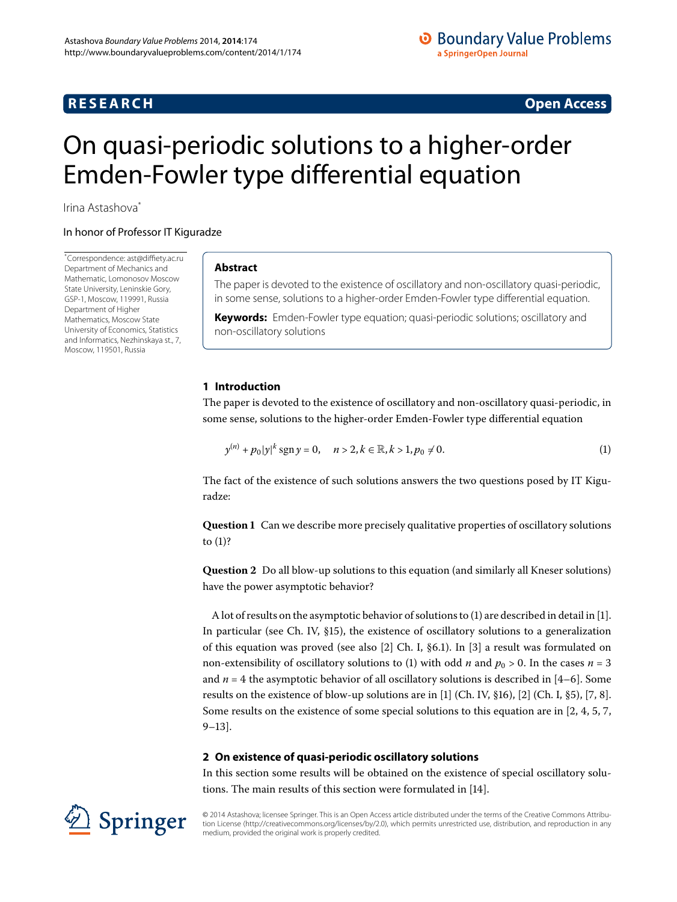## **RESEARCH CONSTRUCTED ACCESS**

# <span id="page-0-0"></span>On quasi-periodic solutions to a higher-order Emden-Fowler type differential equation

Irina Astashova[\\*](#page-0-0)

#### In honor of Professor IT Kiguradze

Springer

\* Correspondence: [ast@diffiety.ac.ru](mailto:ast@diffiety.ac.ru) Department of Mechanics and Mathematic, Lomonosov Moscow State University, Leninskie Gory, GSP-1, Moscow, 119991, Russia Department of Higher Mathematics, Moscow State University of Economics, Statistics and Informatics, Nezhinskaya st., 7, Moscow, 119501, Russia

#### **Abstract**

The paper is devoted to the existence of oscillatory and non-oscillatory quasi-periodic, in some sense, solutions to a higher-order Emden-Fowler type differential equation.

<span id="page-0-1"></span>**Keywords:** Emden-Fowler type equation; quasi-periodic solutions; oscillatory and non-oscillatory solutions

#### **1 Introduction**

<span id="page-0-2"></span>The paper is devoted to the existence of oscillatory and non-oscillatory quasi-periodic, in some sense, solutions to the higher-order Emden-Fowler type differential equation

$$
y^{(n)} + p_0 |y|^k \operatorname{sgn} y = 0, \quad n > 2, k \in \mathbb{R}, k > 1, p_0 \neq 0.
$$
 (1)

<span id="page-0-3"></span>The fact of the existence of such solutions answers the two questions posed by IT Kiguradze:

**Question 1** Can we describe more precisely qualitative properties of oscillatory solutions to  $(1)$  $(1)$ ?

**Question 2** Do all blow-up solutions to this equation (and similarly all Kneser solutions) have the power asymptotic behavior?

A lot of results on the asymptotic behavior of solutions to  $(1)$  are described in detail in [1]. In particular (see Ch. IV,  $\S15$ ), the existence of oscillatory solutions to a generalization of this equation was proved (see also  $[2]$  $[2]$  $[2]$  Ch. I, §6.1). In  $[3]$  a result was formulated on non-extensibility of oscillatory solutions to (1) with odd *n* and  $p_0 > 0$ . In the cases  $n = 3$ and  $n = 4$  the asymptotic behavior of all oscillatory solutions is described in [4–6]. Some results on the existence of blow-up solutions are in [1[\]](#page-7-5) (Ch. IV, §16), [\[](#page-7-4)2] (Ch. I, §5), [7, 8]. Some results on the existence of some special solutions to this equation are in  $[2, 4, 5, 7,$  $[2, 4, 5, 7,$  $[2, 4, 5, 7,$  $[2, 4, 5, 7,$  $9-13$ .

#### **2 On existence of quasi-periodic oscillatory solutions**

In this section some results will be obtained on the existence of special oscillatory solu-tions. The main results of this section were formulated in [\[](#page-7-9)14].

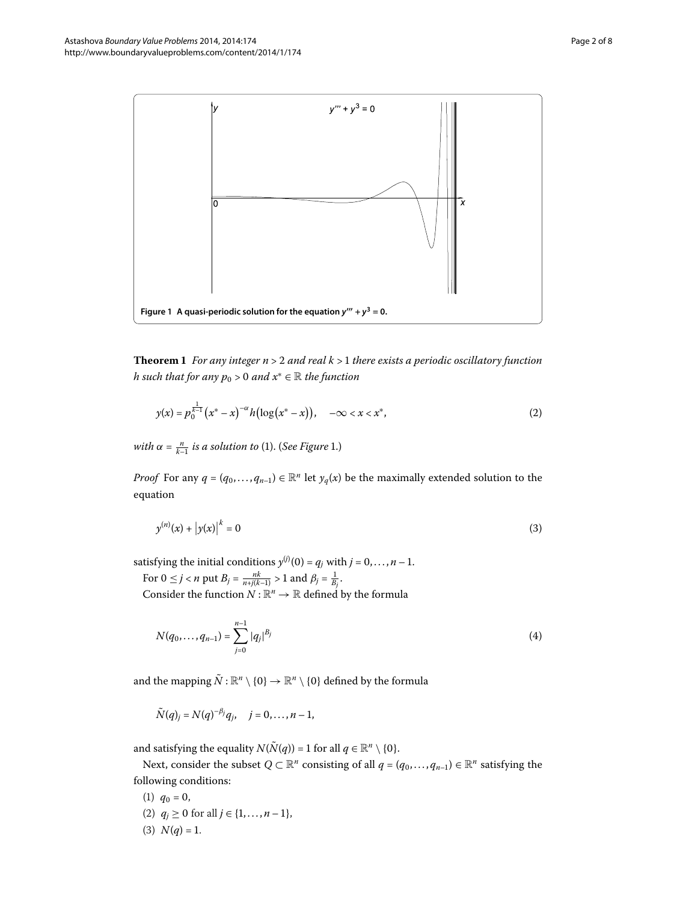<span id="page-1-0"></span>

<span id="page-1-2"></span>**Theorem 1** For any integer  $n > 2$  and real  $k > 1$  there exists a periodic oscillatory function *h* such that for any  $p_0 > 0$  and  $x^* \in \mathbb{R}$  the function

<span id="page-1-1"></span>
$$
y(x) = p_0^{\frac{1}{k-1}} (x^* - x)^{-\alpha} h\bigl(\log(x^* - x)\bigr), \quad -\infty < x < x^*,
$$
 (2)

*with*  $\alpha = \frac{n}{k-1}$  *is a solution to* [\(](#page-0-1)1)[.](#page-1-0) (*See Figure* 1.)

*Proof* For any  $q = (q_0, \ldots, q_{n-1}) \in \mathbb{R}^n$  let  $y_q(x)$  be the maximally extended solution to the equation

$$
y^{(n)}(x) + |y(x)|^k = 0
$$
 (3)

satisfying the initial conditions  $y^{(j)}(0) = q_j$  with  $j = 0, \ldots, n - 1$ .

For  $0 \le j < n$  put  $B_j = \frac{nk}{n + j(k-1)} > 1$  and  $\beta_j = \frac{1}{B_j}$ .

Consider the function  $N : \mathbb{R}^n \to \mathbb{R}$  defined by the formula

$$
N(q_0, \ldots, q_{n-1}) = \sum_{j=0}^{n-1} |q_j|^{B_j}
$$
 (4)

and the mapping  $\tilde{N}$ :  $\mathbb{R}^n \setminus \{0\} \to \mathbb{R}^n \setminus \{0\}$  defined by the formula

$$
\tilde{N}(q)_j = N(q)^{-\beta_j} q_j, \quad j = 0, \ldots, n-1,
$$

and satisfying the equality  $N(\tilde{N}(q)) = 1$  for all  $q \in \mathbb{R}^n \setminus \{0\}.$ 

Next, consider the subset  $Q \subset \mathbb{R}^n$  consisting of all  $q = (q_0, \ldots, q_{n-1}) \in \mathbb{R}^n$  satisfying the following conditions:

(1)  $q_0 = 0$ , (2)  $q_j \ge 0$  for all  $j \in \{1, ..., n-1\}$ , (3)  $N(q) = 1$ .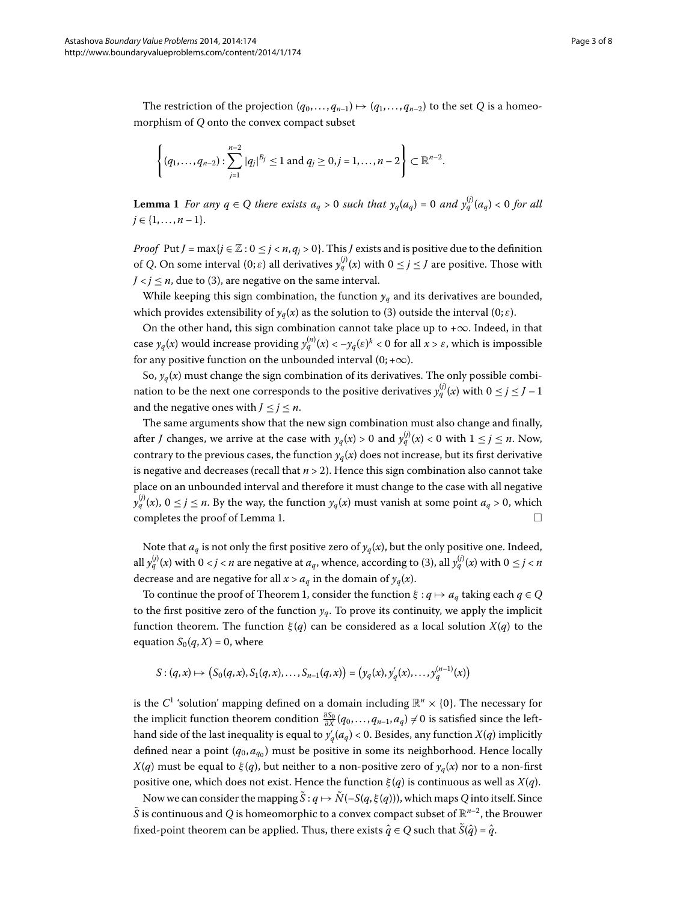<span id="page-2-0"></span>The restriction of the projection  $(q_0, \ldots, q_{n-1}) \mapsto (q_1, \ldots, q_{n-2})$  to the set *Q* is a homeomorphism of *Q* onto the convex compact subset

$$
\left\{(q_1,\ldots,q_{n-2}): \sum_{j=1}^{n-2}|q_j|^{B_j}\leq 1 \text{ and } q_j\geq 0, j=1,\ldots,n-2\right\}\subset\mathbb{R}^{n-2}.
$$

**Lemma 1** For any  $q \in Q$  there exists  $a_q > 0$  such that  $y_q(a_q) = 0$  and  $y_q^{(j)}(a_q) < 0$  for all  $j \in \{1, \ldots, n-1\}.$ 

*Proof* Put *J* = max{*j* ∈  $\mathbb{Z}$  :  $0 \le j < n, q_j > 0$ }. This *J* exists and is positive due to the definition of *Q*. On some interval  $(0; \varepsilon)$  all derivatives  $y_q^{(j)}(x)$  with  $0 \le j \le J$  are positive. Those with  $J < j \leq n$ , due to (3[\)](#page-1-1), are negative on the same interval.

While keeping this sign combination, the function  $y_a$  and its derivatives are bounded, which provides extensibility of  $y_q(x)$  $y_q(x)$  as the solution to (3) outside the interval (0;  $\varepsilon$ ).

On the other hand, this sign combination cannot take place up to +∞. Indeed, in that case  $y_q(x)$  would increase providing  $y_q^{(n)}(x)<-y_q(\varepsilon)^k< 0$  for all  $x>\varepsilon$ , which is impossible for any positive function on the unbounded interval  $(0; +\infty)$ .

So,  $y_q(x)$  must change the sign combination of its derivatives. The only possible combination to be the next one corresponds to the positive derivatives  $y_q^{(j)}(x)$  with  $0 \le j \le J-1$ and the negative ones with  $J \leq j \leq n$ .

The same arguments show that the new sign combination must also change and finally, after *J* changes, we arrive at the case with  $y_q(x) > 0$  and  $y_q^{(j)}(x) < 0$  with  $1 \le j \le n$ . Now, contrary to the previous cases, the function  $y_a(x)$  does not increase, but its first derivative is negative and decreases (recall that  $n > 2$ ). Hence this sign combination also cannot take place on an unbounded interval and therefore it must change to the case with all negative  $y_q^{(j)}(x)$ ,  $0 \le j \le n$ . By the way, the function  $y_q(x)$  must vanish at some point  $a_q > 0$ , which completes the proof of Lemma 1[.](#page-2-0)  $\Box$ 

Note that  $a_q$  is not only the first positive zero of  $y_q(x)$ , but the only positive one. Indeed, all  $y_q^{(j)}(x)$  $y_q^{(j)}(x)$  $y_q^{(j)}(x)$  with  $0 < j < n$  are negative at  $a_q$ , whence, according to (3), all  $y_q^{(j)}(x)$  with  $0 \le j < n$ decrease and are negative for all  $x > a<sub>q</sub>$  in the domain of  $y<sub>q</sub>(x)$ .

 $\text{To continue the proof of Theorem 1, consider the function  $\xi : q \mapsto a_q$  taking each  $q \in Q$$ to the first positive zero of the function  $y_q$ . To prove its continuity, we apply the implicit function theorem. The function *ξ* (*q*) can be considered as a local solution *X*(*q*) to the equation  $S_0(q, X) = 0$ , where

$$
S:(q,x)\mapsto (S_0(q,x),S_1(q,x),\ldots,S_{n-1}(q,x))=(y_q(x),y'_q(x),\ldots,y_q^{(n-1)}(x))
$$

is the  $C^1$  'solution' mapping defined on a domain including  $\mathbb{R}^n \times \{0\}$ . The necessary for the implicit function theorem condition  $\frac{\partial S_0}{\partial X}(q_0,...,q_{n-1},a_q) \neq 0$  is satisfied since the lefthand side of the last inequality is equal to  $y'_q(a_q)$  < 0. Besides, any function  $X(q)$  implicitly defined near a point  $(q_0, a_{q_0})$  must be positive in some its neighborhood. Hence locally *X*(*q*) must be equal to *ξ*(*q*), but neither to a non-positive zero of  $y_q(x)$  nor to a non-first positive one, which does not exist. Hence the function *ξ* (*q*) is continuous as well as *X*(*q*).

Now we can consider the mapping  $S: q \mapsto N(-S(q, \xi(q)))$ , which maps Q into itself. Since  $\tilde{S}$  is continuous and *Q* is homeomorphic to a convex compact subset of  $\mathbb{R}^{n-2}$ , the Brouwer fixed-point theorem can be applied. Thus, there exists  $\hat{q} \in Q$  such that  $\tilde{S}(\hat{q}) = \hat{q}$ .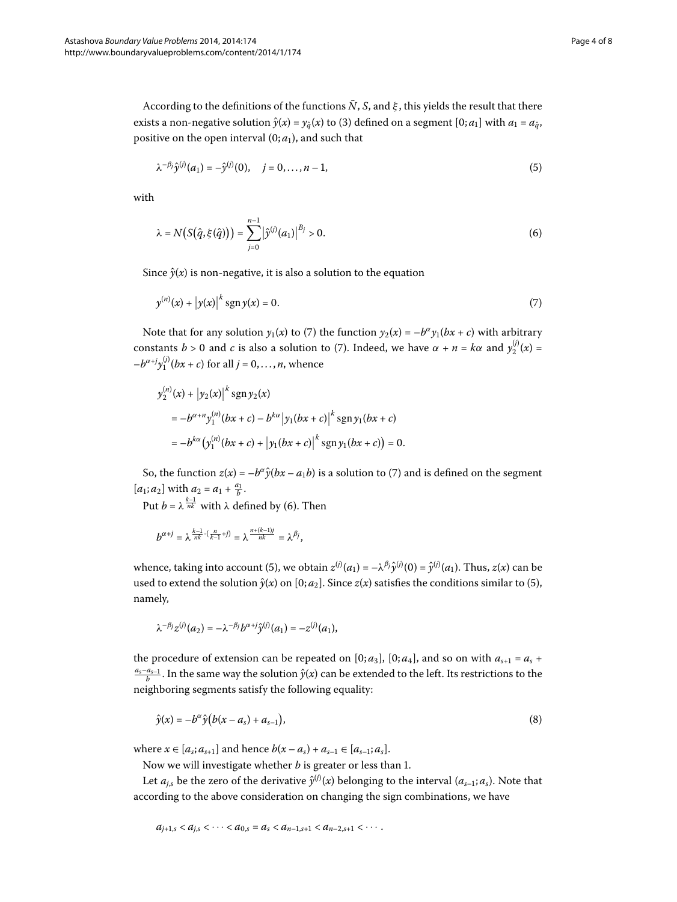According to the definitions of the functions  $\tilde{N}$ , *S*, and  $\xi$ , this yields the result that there exists a non-negative solution  $\hat{y}(x) = y_{\hat{a}}(x)$  $\hat{y}(x) = y_{\hat{a}}(x)$  $\hat{y}(x) = y_{\hat{a}}(x)$  to (3) defined on a segment  $[0; a_1]$  with  $a_1 = a_{\hat{a}}$ , positive on the open interval  $(0; a_1)$ , and such that

<span id="page-3-2"></span><span id="page-3-1"></span>
$$
\lambda^{-\beta_j} \hat{y}^{(j)}(a_1) = -\hat{y}^{(j)}(0), \quad j = 0, \dots, n-1,
$$
\n(5)

with

<span id="page-3-0"></span>
$$
\lambda = N(S(\hat{q}, \xi(\hat{q}))) = \sum_{j=0}^{n-1} |\hat{y}^{(j)}(a_1)|^{B_j} > 0.
$$
\n(6)

Since  $\hat{y}(x)$  is non-negative, it is also a solution to the equation

$$
y^{(n)}(x) + |y(x)|^k \operatorname{sgn} y(x) = 0.
$$
 (7)

Note that for any solution  $y_1(x)$  $y_1(x)$  $y_1(x)$  to (7) the function  $y_2(x) = -b^{\alpha}y_1(bx + c)$  with arbitrary constants  $b > 0$  and  $c$  is also a solution to [\(](#page-3-0)7). Indeed, we have  $\alpha + n = k\alpha$  and  $y_2^{(j)}(x) =$  $-b^{\alpha+j}y_1^{(j)}(bx+c)$  for all  $j=0,\ldots,n$ , whence

$$
y_2^{(n)}(x) + |y_2(x)|^k \operatorname{sgn} y_2(x)
$$
  
=  $-b^{\alpha+n} y_1^{(n)}(bx + c) - b^{k\alpha} |y_1(bx + c)|^k \operatorname{sgn} y_1(bx + c)$   
=  $-b^{k\alpha} (y_1^{(n)}(bx + c) + |y_1(bx + c)|^k \operatorname{sgn} y_1(bx + c)) = 0.$ 

So, the function  $z(x) = -b^{\alpha} \hat{y}(bx - a_1b)$  $z(x) = -b^{\alpha} \hat{y}(bx - a_1b)$  $z(x) = -b^{\alpha} \hat{y}(bx - a_1b)$  is a solution to (7) and is defined on the segment  $[a_1; a_2]$  with  $a_2 = a_1 + \frac{a_1}{b}$ .

Put  $b = \lambda^{\frac{k-1}{nk}}$  with  $\lambda$  defined by (6). Then

$$
b^{\alpha+j}=\lambda^{\frac{k-1}{nk}\cdot(\frac{n}{k-1}+j)}=\lambda^{\frac{n+(k-1)j}{nk}}=\lambda^{\beta j},
$$

whence, taking into account (5), we obtain  $z^{(j)}(a_1) = -\lambda^{\beta_j} \hat{y}^{(j)}(0) = \hat{y}^{(j)}(a_1)$ . Thus,  $z(x)$  can be used to extend the solution  $\hat{y}(x)$  $\hat{y}(x)$  on  $[0; a_2]$ . Since  $z(x)$  satisfies the conditions similar to (5), namely,

<span id="page-3-3"></span>
$$
\lambda^{-\beta_j} z^{(j)}(a_2) = -\lambda^{-\beta_j} b^{\alpha+j} \hat{y}^{(j)}(a_1) = -z^{(j)}(a_1),
$$

the procedure of extension can be repeated on [0;  $a_3$ ], [0;  $a_4$ ], and so on with  $a_{s+1} = a_s +$  $\frac{a_s-a_{s-1}}{b}$ . In the same way the solution  $\hat{y}(x)$  can be extended to the left. Its restrictions to the neighboring segments satisfy the following equality:

$$
\hat{y}(x) = -b^{\alpha}\hat{y}\big(b(x-a_s) + a_{s-1}\big),\tag{8}
$$

where  $x \in [a_s; a_{s+1}]$  and hence  $b(x - a_s) + a_{s-1} \in [a_{s-1}; a_s]$ .

Now we will investigate whether *b* is greater or less than 1.

Let  $a_{j,s}$  be the zero of the derivative  $\hat{y}^{(j)}(x)$  belonging to the interval  $(a_{s-1}; a_s)$ . Note that according to the above consideration on changing the sign combinations, we have

$$
a_{j+1,s} < a_{j,s} < \cdots < a_{0,s} = a_s < a_{n-1,s+1} < a_{n-2,s+1} < \cdots
$$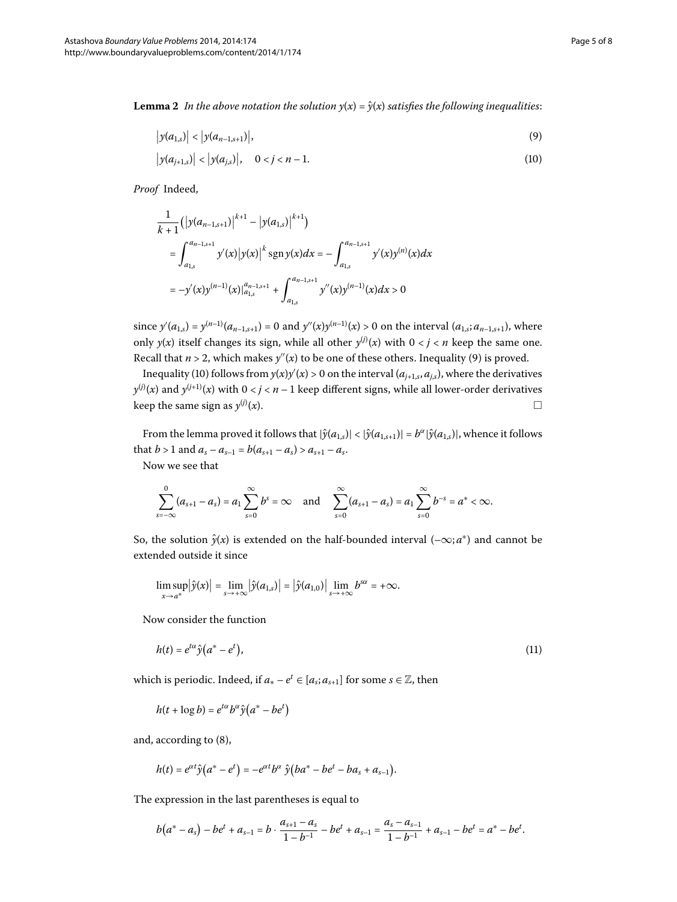**Lemma 2** In the above notation the solution  $y(x) = \hat{y}(x)$  satisfies the following inequalities:

<span id="page-4-1"></span><span id="page-4-0"></span>
$$
\left| y(a_{1,s}) \right| < \left| y(a_{n-1,s+1}) \right|,\tag{9}
$$

$$
\left| y(a_{j+1,s}) \right| < \left| y(a_{j,s}) \right|, \quad 0 < j < n-1. \tag{10}
$$

*Proof* Indeed,

$$
\frac{1}{k+1} (|y(a_{n-1,s+1})|^{k+1} - |y(a_{1,s})|^{k+1})
$$
\n
$$
= \int_{a_{1,s}}^{a_{n-1,s+1}} y'(x) |y(x)|^k \operatorname{sgn} y(x) dx = - \int_{a_{1,s}}^{a_{n-1,s+1}} y'(x) y^{(n)}(x) dx
$$
\n
$$
= -y'(x) y^{(n-1)}(x) |_{a_{1,s}}^{a_{n-1,s+1}} + \int_{a_{1,s}}^{a_{n-1,s+1}} y''(x) y^{(n-1)}(x) dx > 0
$$

since  $y'(a_{1,s}) = y^{(n-1)}(a_{n-1,s+1}) = 0$  and  $y''(x)y^{(n-1)}(x) > 0$  on the interval  $(a_{1,s}; a_{n-1,s+1})$ , where only  $y(x)$  itself changes its sign, while all other  $y^{(j)}(x)$  with  $0 < j < n$  keep the same one. Recall that  $n > 2$ , which makes  $y''(x)$  $y''(x)$  to be one of these others. Inequality (9) is proved.

Inequality (10[\)](#page-4-1) follows from  $y(x)y'(x) > 0$  on the interval ( $a_{j+1,s}, a_{j,s}$ ), where the derivatives  $y^{(j)}(x)$  and  $y^{(j+1)}(x)$  with  $0 < j < n-1$  keep different signs, while all lower-order derivatives keep the same sign as  $y^{(j)}(x)$ .  $(x)$ .

From the lemma proved it follows that  $|\hat{y}(a_{1,s})| < |\hat{y}(a_{1,s+1})| = b^{\alpha} |\hat{y}(a_{1,s})|$ , whence it follows that *b* > 1 and  $a_s - a_{s-1} = b(a_{s+1} - a_s) > a_{s+1} - a_s$ .

Now we see that

$$
\sum_{s=-\infty}^{0} (a_{s+1} - a_s) = a_1 \sum_{s=0}^{\infty} b^s = \infty \text{ and } \sum_{s=0}^{\infty} (a_{s+1} - a_s) = a_1 \sum_{s=0}^{\infty} b^{-s} = a^* < \infty.
$$

So, the solution  $\hat{y}(x)$  is extended on the half-bounded interval  $(-\infty; a^*)$  and cannot be extended outside it since

<span id="page-4-2"></span>
$$
\limsup_{x\to a^*}|\hat{y}(x)|=\lim_{s\to+\infty}|\hat{y}(a_{1,s})|=|\hat{y}(a_{1,0})|\lim_{s\to+\infty}b^{s\alpha}=+\infty.
$$

Now consider the function

$$
h(t) = e^{t\alpha} \hat{y} \left( a^* - e^t \right),\tag{11}
$$

which is periodic. Indeed, if  $a_* - e^t \in [a_s; a_{s+1}]$  for some  $s \in \mathbb{Z}$ , then

$$
h(t+\log b) = e^{t\alpha}b^{\alpha}\hat{y}(a^* - be^t)
$$

and, according to  $(8)$  $(8)$ ,

$$
h(t) = e^{\alpha t} \hat{y} (a^* - e^t) = -e^{\alpha t} b^{\alpha} \hat{y} (ba^* - be^t - ba_s + a_{s-1}).
$$

The expression in the last parentheses is equal to

$$
b(a^* - a_s) - be^t + a_{s-1} = b \cdot \frac{a_{s+1} - a_s}{1 - b^{-1}} - be^t + a_{s-1} = \frac{a_s - a_{s-1}}{1 - b^{-1}} + a_{s-1} - be^t = a^* - be^t.
$$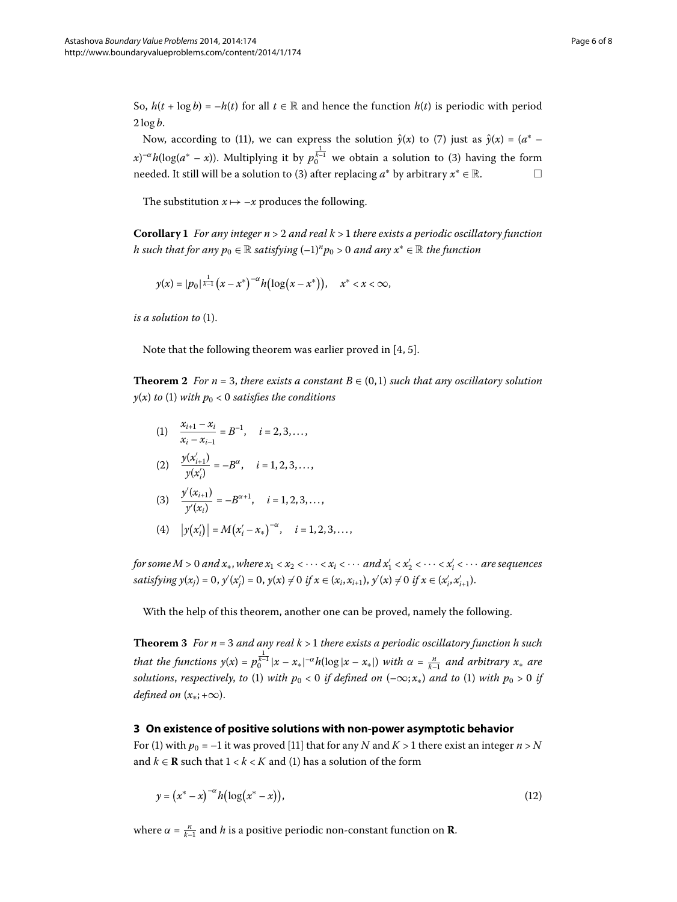So,  $h(t + \log b) = -h(t)$  for all  $t \in \mathbb{R}$  and hence the function  $h(t)$  is periodic with period  $2 \log b$ .

Now, according to [\(](#page-4-2)11[\)](#page-3-0), we can express the solution  $\hat{y}(x)$  to (7) just as  $\hat{y}(x) = (a^* - b^*)y$ *x*[\)](#page-1-1)<sup>-α</sup>*h*(log(*a*\* – *x*)). Multiplying it by  $p_0^{\frac{1}{k-1}}$  we obtain a solution to (3) having the form needed. It still will be a solution to [\(](#page-1-1)3) after replacing  $a^*$  by arbitrary  $x^* \in \mathbb{R}$ .  $\Box$ 

The substitution  $x \mapsto -x$  produces the following.

**Corollary**  *For any integer n* > *and real k* > *there exists a periodic oscillatory function h* such that for any  $p_0 \in \mathbb{R}$  satisfying  $(-1)^n p_0 > 0$  and any  $x^* \in \mathbb{R}$  the function

$$
y(x) = |p_0|^{\frac{1}{k-1}} (x - x^*)^{-\alpha} h(\log(x - x^*)), \quad x^* < x < \infty,
$$

*is a solution to* (1[\)](#page-0-1).

Note that the following theorem was earlier proved in  $[4, 5]$  $[4, 5]$  $[4, 5]$ .

**Theorem 2** For  $n = 3$ , there exists a constant  $B \in (0,1)$  such that any oscillatory solution  $y(x)$  $y(x)$  *to* (1) *with*  $p_0 < 0$  *satisfies the conditions* 

(1)  $\frac{x_{i+1} - x_i}{x_i - x_{i-1}} = B^{-1}, \quad i = 2, 3, \dots,$ 

(2) 
$$
\frac{y(x'_{i+1})}{y(x'_{i})} = -B^{\alpha}, \quad i = 1, 2, 3, ...,
$$

(3) 
$$
\frac{y'(x_{i+1})}{y'(x_i)} = -B^{\alpha+1}, \quad i = 1, 2, 3, \dots,
$$

(4) 
$$
|y(x'_i)| = M(x'_i - x_*)^{-\alpha}, \quad i = 1, 2, 3, ...
$$

*for some M* > 0 *and x*<sub>\*</sub>, where  $x_1 < x_2 < \cdots < x_i < \cdots$  and  $x'_1 < x'_2 < \cdots < x'_i < \cdots$  are sequences  $satisfying y(x_j) = 0, y'(x_j') = 0, y(x) \neq 0 \text{ if } x \in (x_i, x_{i+1}), y'(x) \neq 0 \text{ if } x \in (x_i', x_{i+1}').$ 

With the help of this theorem, another one can be proved, namely the following.

**Theorem**  *For n* = *and any real k* > *there exists a periodic oscillatory function h such that the functions*  $y(x) = p_0^{\frac{1}{k-1}} |x - x_*|^{-\alpha} h(\log|x - x_*|)$  *with*  $\alpha = \frac{n}{k-1}$  *and arbitrary*  $x_*$  *are solutions, respectively, to* (1[\)](#page-0-1) *with*  $p_0 < 0$  *if defined on*  $(-\infty; x_*)$  $(-\infty; x_*)$  *and to* (1) *with*  $p_0 > 0$  *if defined on*  $(x_*; +\infty)$ .

#### **3 On existence of positive solutions with non-power asymptotic behavior**

For (1) with  $p_0 = -1$  it was proved [\[](#page-7-10)11] that for any *N* and *K* > 1 there exist an integer  $n > N$ and  $k \in \mathbb{R}$  such that  $1 < k < K$  and [\(](#page-0-1)1) has a solution of the form

<span id="page-5-0"></span>
$$
y = (x^* - x)^{-\alpha} h(\log(x^* - x)),
$$
\n(12)

where  $\alpha = \frac{n}{k-1}$  and *h* is a positive periodic non-constant function on **R**.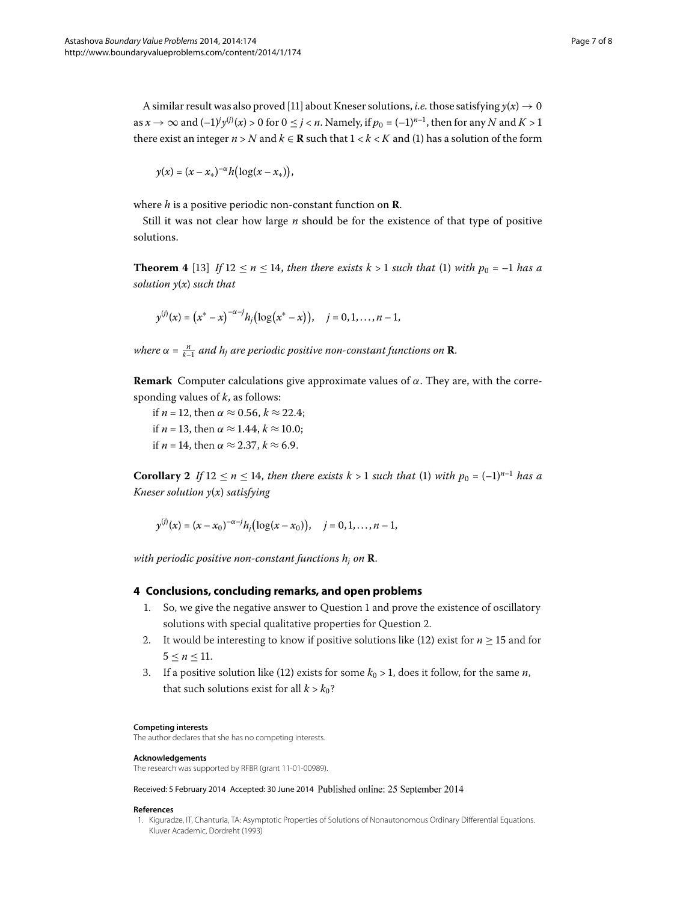A similar result was also proved [11] about Kneser solutions, *i.e.* those satisfying  $y(x) \rightarrow 0$ as  $x \to \infty$  and  $(-1)^j y^{(j)}(x) > 0$  for  $0 \le j < n$ . Namely, if  $p_0 = (-1)^{n-1}$ , then for any *N* and *K* > 1 there exist an integer  $n > N$  and  $k \in \mathbb{R}$  such that  $1 < k < K$  and (1) has a solution of the form

$$
y(x)=(x-x_*)^{-\alpha}h\bigl(\log(x-x_*)\bigr),
$$

where *h* is a positive periodic non-constant function on **R**.

Still it was not clear how large *n* should be for the existence of that type of positive solutions.

**Theorem 4** [\[](#page-7-8)13] If  $12 \le n \le 14$ , then there exists  $k > 1$  such that (1[\)](#page-0-1) with  $p_0 = -1$  has a *solution y*(*x*) *such that*

$$
y^{(j)}(x) = (x^* - x)^{-\alpha - j} h_j(\log(x^* - x)), \quad j = 0, 1, ..., n - 1,
$$

*where*  $\alpha = \frac{n}{k-1}$  and  $h_j$  are periodic positive non-constant functions on **R**.

**Remark** Computer calculations give approximate values of *α*. They are, with the corresponding values of *k*, as follows:

if *n* = 12, then  $\alpha \approx 0.56$ ,  $k \approx 22.4$ ; if *n* = 13, then  $\alpha \approx 1.44$ ,  $k \approx 10.0$ ; if *n* = 14, then  $\alpha \approx 2.37$ ,  $k \approx 6.9$ .

**Corollary 2** If  $12 \le n \le 14$ , then there exists  $k > 1$  such that [\(](#page-0-1)1) with  $p_0 = (-1)^{n-1}$  has a *Kneser solution y*(*x*) *satisfying*

$$
y^{(j)}(x) = (x - x_0)^{-\alpha - j} h_j(\log(x - x_0)), \quad j = 0, 1, ..., n - 1,
$$

*with periodic positive non-constant functions*  $h_i$  *on*  $\mathbf{R}$ .

#### **4 Conclusions, concluding remarks, and open problems**

- 1. So, we give the negative answer to Question 1 and prove the existence of oscillatory solutions with special qualitative properties for Question 2[.](#page-0-3)
- 2. It would be interesting to know if positive solutions like [\(](#page-5-0)12) exist for  $n \geq 15$  and for  $5 < n < 11$ .
- 3. If a positive solution like (12[\)](#page-5-0) exists for some  $k_0 > 1$ , does it follow, for the same *n*, that such solutions exist for all  $k > k_0$ ?

#### <span id="page-6-0"></span>**Competing interests**

The author declares that she has no competing interests.

#### **Acknowledgements**

The research was supported by RFBR (grant 11-01-00989).

Received: 5 February 2014 Accepted: 30 June 2014 Published online: 25 September 2014

#### **References**

1. Kiguradze, IT, Chanturia, TA: Asymptotic Properties of Solutions of Nonautonomous Ordinary Differential Equations. Kluver Academic, Dordreht (1993)